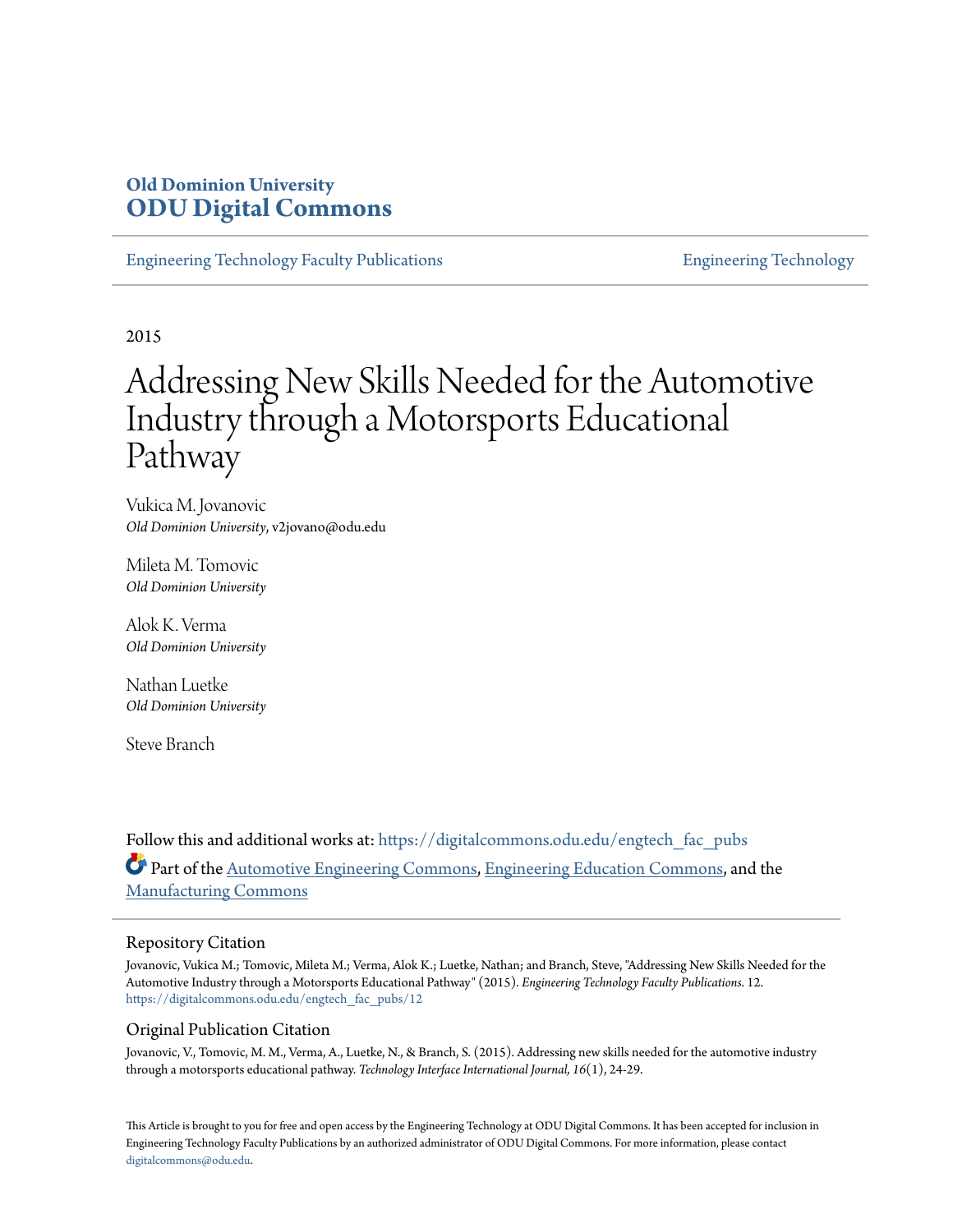# **Old Dominion University [ODU Digital Commons](https://digitalcommons.odu.edu?utm_source=digitalcommons.odu.edu%2Fengtech_fac_pubs%2F12&utm_medium=PDF&utm_campaign=PDFCoverPages)**

[Engineering Technology Faculty Publications](https://digitalcommons.odu.edu/engtech_fac_pubs?utm_source=digitalcommons.odu.edu%2Fengtech_fac_pubs%2F12&utm_medium=PDF&utm_campaign=PDFCoverPages) [Engineering Technology](https://digitalcommons.odu.edu/engtech?utm_source=digitalcommons.odu.edu%2Fengtech_fac_pubs%2F12&utm_medium=PDF&utm_campaign=PDFCoverPages)

2015

# Addressing New Skills Needed for the Automotive Industry through a Motorsports Educational **Pathway**

Vukica M. Jovanovic *Old Dominion University*, v2jovano@odu.edu

Mileta M. Tomovic *Old Dominion University*

Alok K. Verma *Old Dominion University*

Nathan Luetke *Old Dominion University*

Steve Branch

Follow this and additional works at: [https://digitalcommons.odu.edu/engtech\\_fac\\_pubs](https://digitalcommons.odu.edu/engtech_fac_pubs?utm_source=digitalcommons.odu.edu%2Fengtech_fac_pubs%2F12&utm_medium=PDF&utm_campaign=PDFCoverPages) Part of the [Automotive Engineering Commons,](http://network.bepress.com/hgg/discipline/1319?utm_source=digitalcommons.odu.edu%2Fengtech_fac_pubs%2F12&utm_medium=PDF&utm_campaign=PDFCoverPages) [Engineering Education Commons,](http://network.bepress.com/hgg/discipline/1191?utm_source=digitalcommons.odu.edu%2Fengtech_fac_pubs%2F12&utm_medium=PDF&utm_campaign=PDFCoverPages) and the [Manufacturing Commons](http://network.bepress.com/hgg/discipline/301?utm_source=digitalcommons.odu.edu%2Fengtech_fac_pubs%2F12&utm_medium=PDF&utm_campaign=PDFCoverPages)

#### Repository Citation

Jovanovic, Vukica M.; Tomovic, Mileta M.; Verma, Alok K.; Luetke, Nathan; and Branch, Steve, "Addressing New Skills Needed for the Automotive Industry through a Motorsports Educational Pathway" (2015). *Engineering Technology Faculty Publications*. 12. [https://digitalcommons.odu.edu/engtech\\_fac\\_pubs/12](https://digitalcommons.odu.edu/engtech_fac_pubs/12?utm_source=digitalcommons.odu.edu%2Fengtech_fac_pubs%2F12&utm_medium=PDF&utm_campaign=PDFCoverPages)

#### Original Publication Citation

Jovanovic, V., Tomovic, M. M., Verma, A., Luetke, N., & Branch, S. (2015). Addressing new skills needed for the automotive industry through a motorsports educational pathway. *Technology Interface International Journal, 16*(1), 24-29.

This Article is brought to you for free and open access by the Engineering Technology at ODU Digital Commons. It has been accepted for inclusion in Engineering Technology Faculty Publications by an authorized administrator of ODU Digital Commons. For more information, please contact [digitalcommons@odu.edu.](mailto:digitalcommons@odu.edu)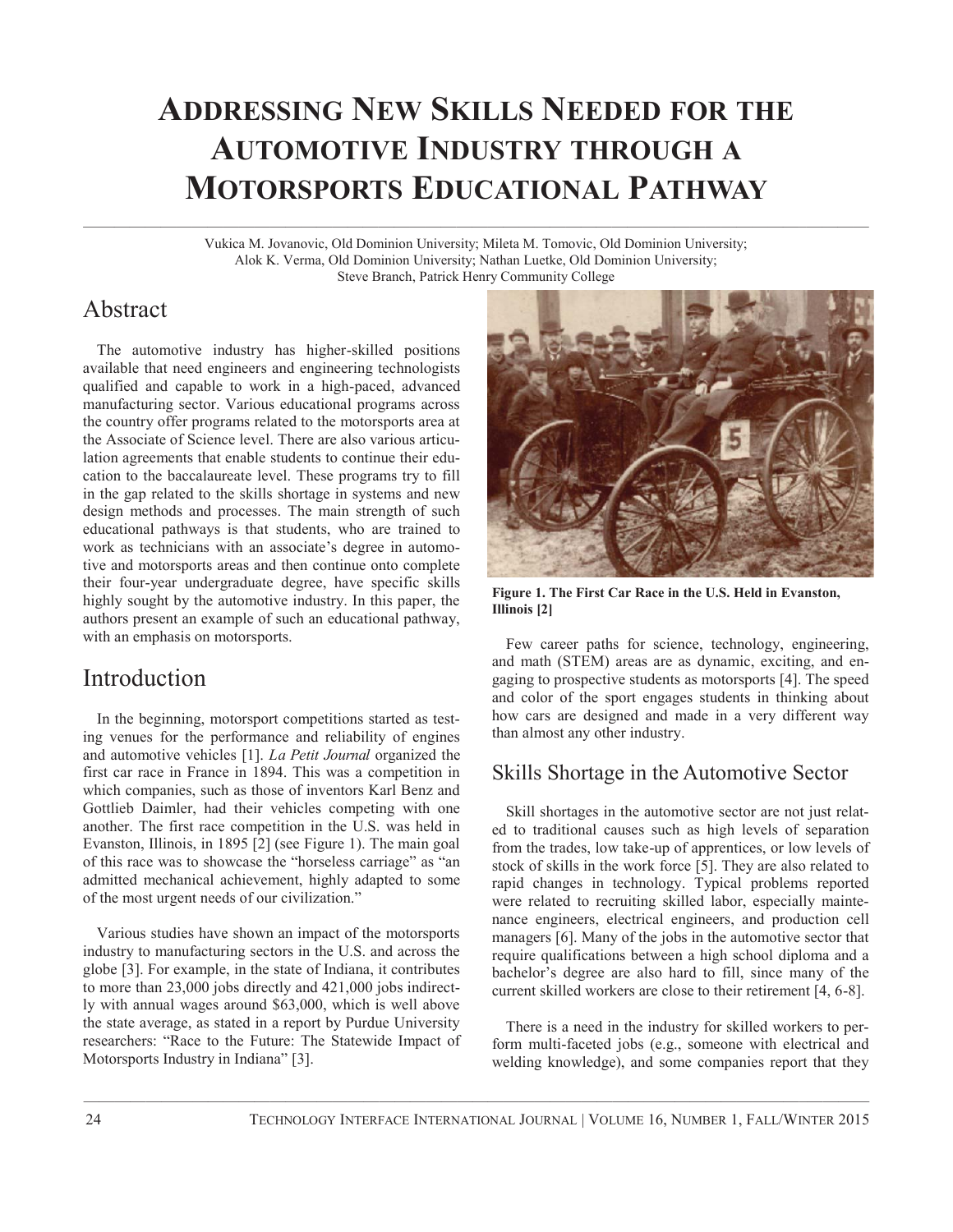# **ADDRESSING NEW SKILLS NEEDED FOR THE AUTOMOTIVE INDUSTRY THROUGH A MOTORSPORTS EDUCATIONAL PATHWAY**

Vukica M. Jovanovic, Old Dominion University; Mileta M. Tomovic, Old Dominion University; Alok K. Verma, Old Dominion University; Nathan Luetke, Old Dominion University; Steve Branch, Patrick Henry Community College

——————————————————————————————————————————————–————

# Abstract

The automotive industry has higher-skilled positions available that need engineers and engineering technologists qualified and capable to work in a high-paced, advanced manufacturing sector. Various educational programs across the country offer programs related to the motorsports area at the Associate of Science level. There are also various articulation agreements that enable students to continue their education to the baccalaureate level. These programs try to fill in the gap related to the skills shortage in systems and new design methods and processes. The main strength of such educational pathways is that students, who are trained to work as technicians with an associate's degree in automotive and motorsports areas and then continue onto complete their four-year undergraduate degree, have specific skills highly sought by the automotive industry. In this paper, the authors present an example of such an educational pathway, with an emphasis on motorsports.

# Introduction

In the beginning, motorsport competitions started as testing venues for the performance and reliability of engines and automotive vehicles [1]. *La Petit Journal* organized the first car race in France in 1894. This was a competition in which companies, such as those of inventors Karl Benz and Gottlieb Daimler, had their vehicles competing with one another. The first race competition in the U.S. was held in Evanston, Illinois, in 1895 [2] (see Figure 1). The main goal of this race was to showcase the "horseless carriage" as "an admitted mechanical achievement, highly adapted to some of the most urgent needs of our civilization."

Various studies have shown an impact of the motorsports industry to manufacturing sectors in the U.S. and across the globe [3]. For example, in the state of Indiana, it contributes to more than 23,000 jobs directly and 421,000 jobs indirectly with annual wages around \$63,000, which is well above the state average, as stated in a report by Purdue University researchers: "Race to the Future: The Statewide Impact of Motorsports Industry in Indiana" [3].



**Figure 1. The First Car Race in the U.S. Held in Evanston, Illinois [2]**

Few career paths for science, technology, engineering, and math (STEM) areas are as dynamic, exciting, and engaging to prospective students as motorsports [4]. The speed and color of the sport engages students in thinking about how cars are designed and made in a very different way than almost any other industry.

### Skills Shortage in the Automotive Sector

Skill shortages in the automotive sector are not just related to traditional causes such as high levels of separation from the trades, low take-up of apprentices, or low levels of stock of skills in the work force [5]. They are also related to rapid changes in technology. Typical problems reported were related to recruiting skilled labor, especially maintenance engineers, electrical engineers, and production cell managers [6]. Many of the jobs in the automotive sector that require qualifications between a high school diploma and a bachelor's degree are also hard to fill, since many of the current skilled workers are close to their retirement [4, 6-8].

There is a need in the industry for skilled workers to perform multi-faceted jobs (e.g., someone with electrical and welding knowledge), and some companies report that they

——————————————————————————————————————————————–————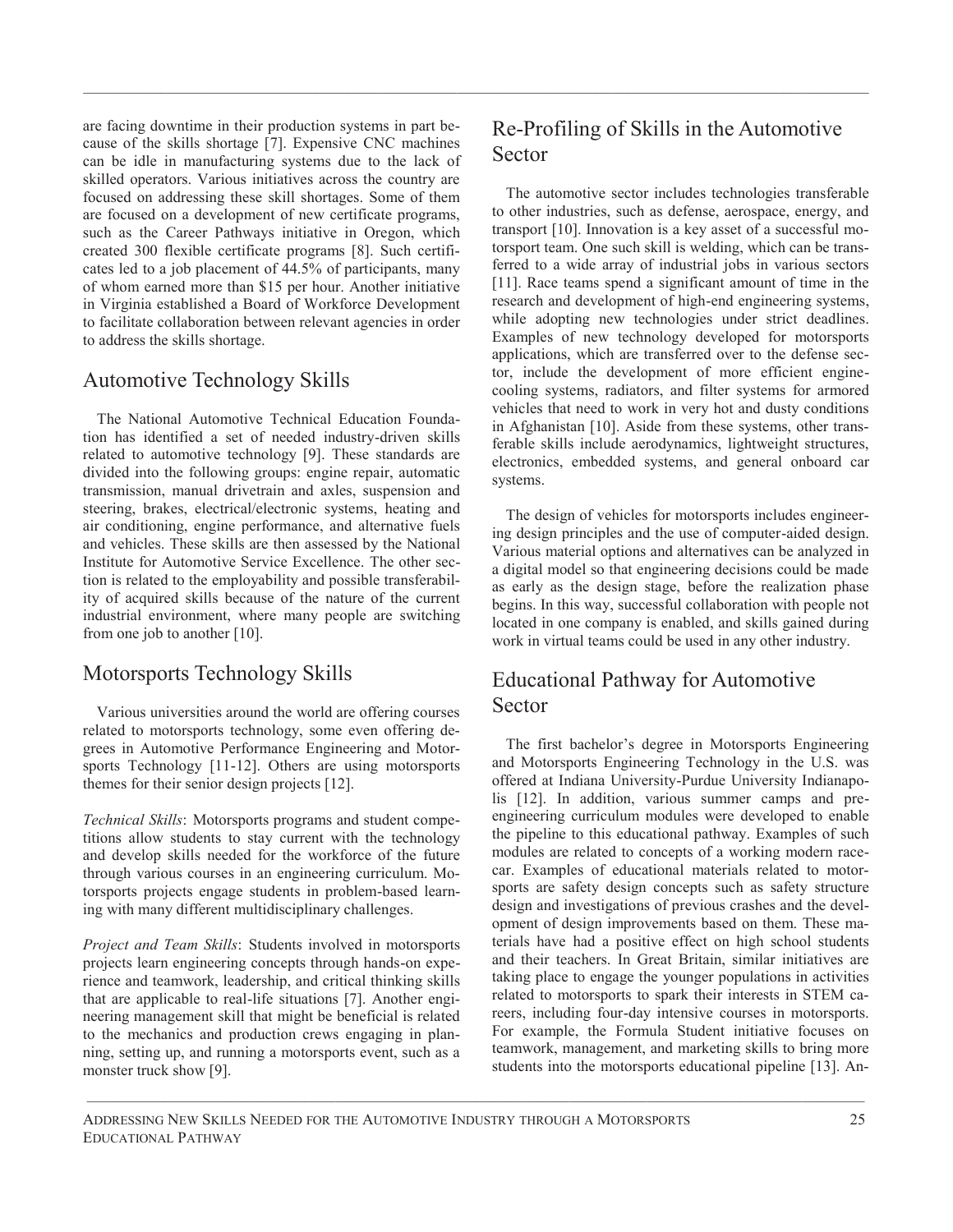are facing downtime in their production systems in part because of the skills shortage [7]. Expensive CNC machines can be idle in manufacturing systems due to the lack of skilled operators. Various initiatives across the country are focused on addressing these skill shortages. Some of them are focused on a development of new certificate programs, such as the Career Pathways initiative in Oregon, which created 300 flexible certificate programs [8]. Such certificates led to a job placement of 44.5% of participants, many of whom earned more than \$15 per hour. Another initiative in Virginia established a Board of Workforce Development to facilitate collaboration between relevant agencies in order to address the skills shortage.

### Automotive Technology Skills

The National Automotive Technical Education Foundation has identified a set of needed industry-driven skills related to automotive technology [9]. These standards are divided into the following groups: engine repair, automatic transmission, manual drivetrain and axles, suspension and steering, brakes, electrical/electronic systems, heating and air conditioning, engine performance, and alternative fuels and vehicles. These skills are then assessed by the National Institute for Automotive Service Excellence. The other section is related to the employability and possible transferability of acquired skills because of the nature of the current industrial environment, where many people are switching from one job to another [10].

## Motorsports Technology Skills

Various universities around the world are offering courses related to motorsports technology, some even offering degrees in Automotive Performance Engineering and Motorsports Technology [11-12]. Others are using motorsports themes for their senior design projects [12].

*Technical Skills*: Motorsports programs and student competitions allow students to stay current with the technology and develop skills needed for the workforce of the future through various courses in an engineering curriculum. Motorsports projects engage students in problem-based learning with many different multidisciplinary challenges.

*Project and Team Skills*: Students involved in motorsports projects learn engineering concepts through hands-on experience and teamwork, leadership, and critical thinking skills that are applicable to real-life situations [7]. Another engineering management skill that might be beneficial is related to the mechanics and production crews engaging in planning, setting up, and running a motorsports event, such as a monster truck show [9].

# Re-Profiling of Skills in the Automotive Sector

——————————————————————————————————————————————–————

The automotive sector includes technologies transferable to other industries, such as defense, aerospace, energy, and transport [10]. Innovation is a key asset of a successful motorsport team. One such skill is welding, which can be transferred to a wide array of industrial jobs in various sectors [11]. Race teams spend a significant amount of time in the research and development of high-end engineering systems, while adopting new technologies under strict deadlines. Examples of new technology developed for motorsports applications, which are transferred over to the defense sector, include the development of more efficient enginecooling systems, radiators, and filter systems for armored vehicles that need to work in very hot and dusty conditions in Afghanistan [10]. Aside from these systems, other transferable skills include aerodynamics, lightweight structures, electronics, embedded systems, and general onboard car systems.

The design of vehicles for motorsports includes engineering design principles and the use of computer-aided design. Various material options and alternatives can be analyzed in a digital model so that engineering decisions could be made as early as the design stage, before the realization phase begins. In this way, successful collaboration with people not located in one company is enabled, and skills gained during work in virtual teams could be used in any other industry.

# Educational Pathway for Automotive Sector

The first bachelor's degree in Motorsports Engineering and Motorsports Engineering Technology in the U.S. was offered at Indiana University-Purdue University Indianapolis [12]. In addition, various summer camps and preengineering curriculum modules were developed to enable the pipeline to this educational pathway. Examples of such modules are related to concepts of a working modern racecar. Examples of educational materials related to motorsports are safety design concepts such as safety structure design and investigations of previous crashes and the development of design improvements based on them. These materials have had a positive effect on high school students and their teachers. In Great Britain, similar initiatives are taking place to engage the younger populations in activities related to motorsports to spark their interests in STEM careers, including four-day intensive courses in motorsports. For example, the Formula Student initiative focuses on teamwork, management, and marketing skills to bring more students into the motorsports educational pipeline [13]. An-

ADDRESSING NEW SKILLS NEEDED FOR THE AUTOMOTIVE INDUSTRY THROUGH A MOTORSPORTS 25 EDUCATIONAL PATHWAY

 $\overline{\phantom{a}}$  , and the contribution of the contribution of the contribution of the contribution of the contribution of the contribution of the contribution of the contribution of the contribution of the contribution of the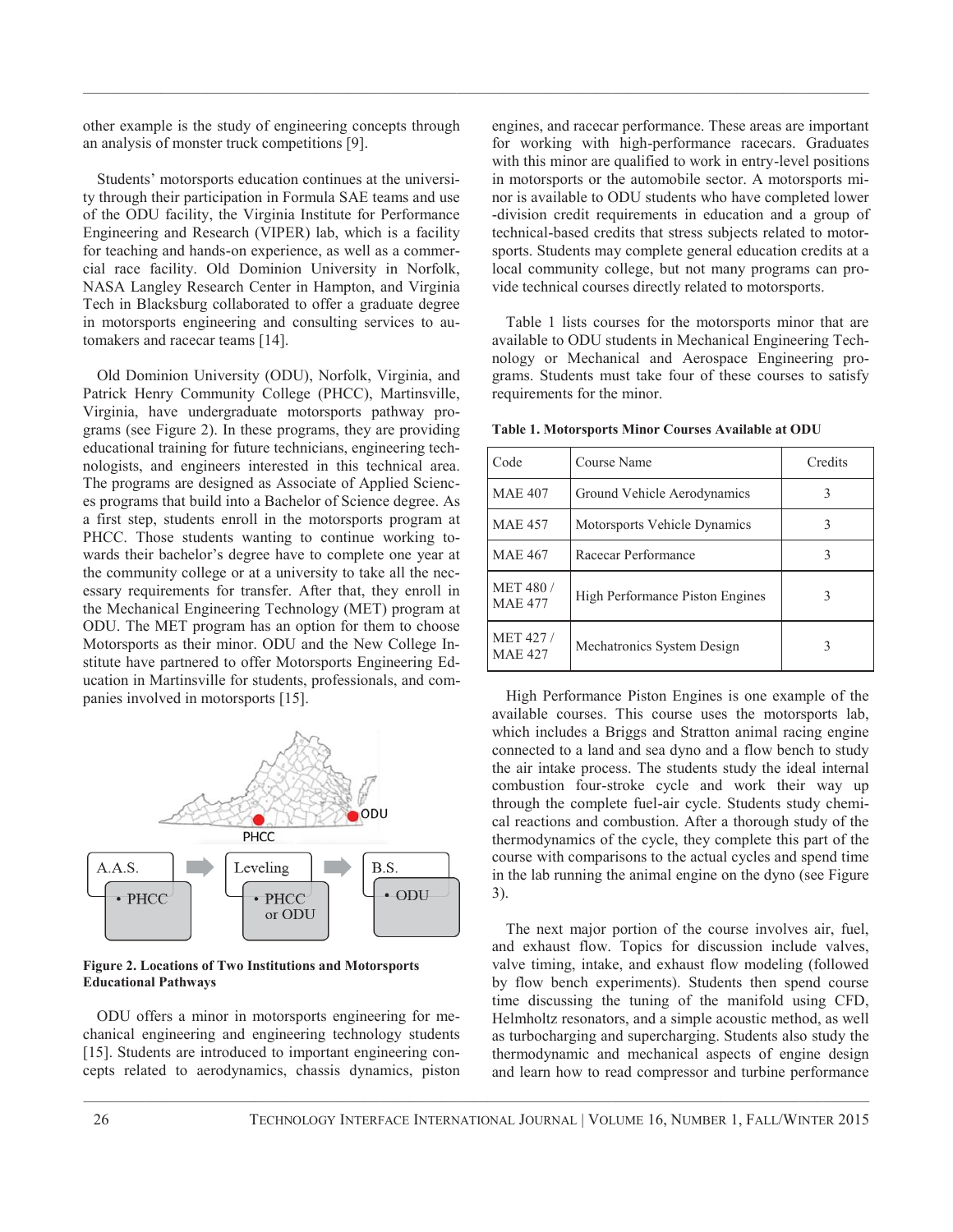other example is the study of engineering concepts through an analysis of monster truck competitions [9].

——————————————————————————————————————————————–————

Students' motorsports education continues at the university through their participation in Formula SAE teams and use of the ODU facility, the Virginia Institute for Performance Engineering and Research (VIPER) lab, which is a facility for teaching and hands-on experience, as well as a commercial race facility. Old Dominion University in Norfolk, NASA Langley Research Center in Hampton, and Virginia Tech in Blacksburg collaborated to offer a graduate degree in motorsports engineering and consulting services to automakers and racecar teams [14].

Old Dominion University (ODU), Norfolk, Virginia, and Patrick Henry Community College (PHCC), Martinsville, Virginia, have undergraduate motorsports pathway programs (see Figure 2). In these programs, they are providing educational training for future technicians, engineering technologists, and engineers interested in this technical area. The programs are designed as Associate of Applied Sciences programs that build into a Bachelor of Science degree. As a first step, students enroll in the motorsports program at PHCC. Those students wanting to continue working towards their bachelor's degree have to complete one year at the community college or at a university to take all the necessary requirements for transfer. After that, they enroll in the Mechanical Engineering Technology (MET) program at ODU. The MET program has an option for them to choose Motorsports as their minor. ODU and the New College Institute have partnered to offer Motorsports Engineering Education in Martinsville for students, professionals, and companies involved in motorsports [15].



#### **Figure 2. Locations of Two Institutions and Motorsports Educational Pathways**

ODU offers a minor in motorsports engineering for mechanical engineering and engineering technology students [15]. Students are introduced to important engineering concepts related to aerodynamics, chassis dynamics, piston engines, and racecar performance. These areas are important for working with high-performance racecars. Graduates with this minor are qualified to work in entry-level positions in motorsports or the automobile sector. A motorsports minor is available to ODU students who have completed lower -division credit requirements in education and a group of technical-based credits that stress subjects related to motorsports. Students may complete general education credits at a local community college, but not many programs can provide technical courses directly related to motorsports.

Table 1 lists courses for the motorsports minor that are available to ODU students in Mechanical Engineering Technology or Mechanical and Aerospace Engineering programs. Students must take four of these courses to satisfy requirements for the minor.

| Code                               | Course Name                         | Credits |
|------------------------------------|-------------------------------------|---------|
| <b>MAE 407</b>                     | Ground Vehicle Aerodynamics         |         |
| <b>MAE 457</b>                     | <b>Motorsports Vehicle Dynamics</b> |         |
| <b>MAE 467</b>                     | Racecar Performance                 |         |
| <b>MET 480 /</b><br><b>MAE 477</b> | High Performance Piston Engines     | 3       |
| <b>MET 427/</b><br><b>MAE 427</b>  | Mechatronics System Design          |         |

**Table 1. Motorsports Minor Courses Available at ODU** 

High Performance Piston Engines is one example of the available courses. This course uses the motorsports lab, which includes a Briggs and Stratton animal racing engine connected to a land and sea dyno and a flow bench to study the air intake process. The students study the ideal internal combustion four-stroke cycle and work their way up through the complete fuel-air cycle. Students study chemical reactions and combustion. After a thorough study of the thermodynamics of the cycle, they complete this part of the course with comparisons to the actual cycles and spend time in the lab running the animal engine on the dyno (see Figure 3).

The next major portion of the course involves air, fuel, and exhaust flow. Topics for discussion include valves, valve timing, intake, and exhaust flow modeling (followed by flow bench experiments). Students then spend course time discussing the tuning of the manifold using CFD, Helmholtz resonators, and a simple acoustic method, as well as turbocharging and supercharging. Students also study the thermodynamic and mechanical aspects of engine design and learn how to read compressor and turbine performance

——————————————————————————————————————————————–————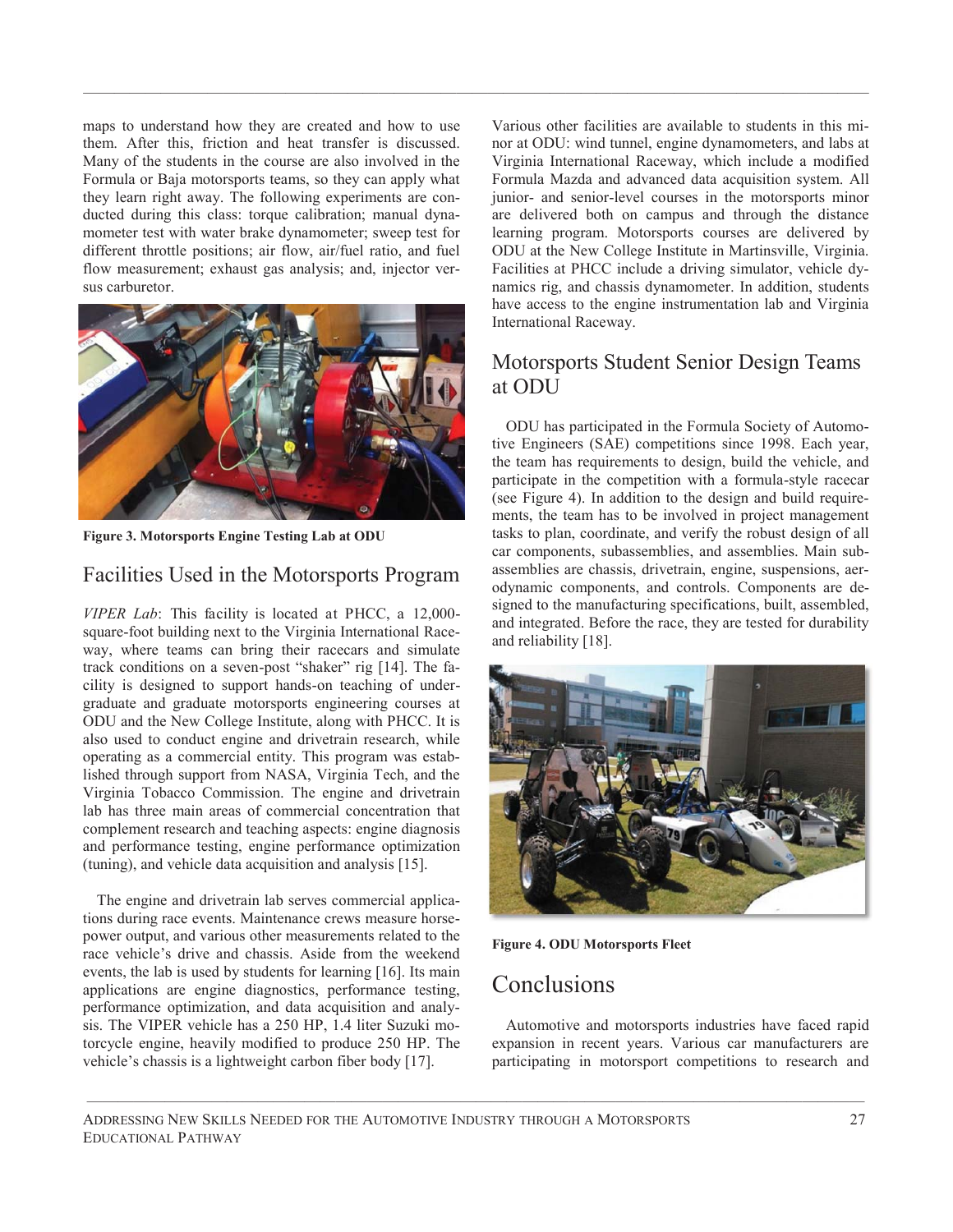maps to understand how they are created and how to use them. After this, friction and heat transfer is discussed. Many of the students in the course are also involved in the Formula or Baja motorsports teams, so they can apply what they learn right away. The following experiments are conducted during this class: torque calibration; manual dynamometer test with water brake dynamometer; sweep test for different throttle positions; air flow, air/fuel ratio, and fuel flow measurement; exhaust gas analysis; and, injector versus carburetor.

——————————————————————————————————————————————–————



**Figure 3. Motorsports Engine Testing Lab at ODU** 

#### Facilities Used in the Motorsports Program

*VIPER Lab*: This facility is located at PHCC, a 12,000 square-foot building next to the Virginia International Raceway, where teams can bring their racecars and simulate track conditions on a seven-post "shaker" rig [14]. The facility is designed to support hands-on teaching of undergraduate and graduate motorsports engineering courses at ODU and the New College Institute, along with PHCC. It is also used to conduct engine and drivetrain research, while operating as a commercial entity. This program was established through support from NASA, Virginia Tech, and the Virginia Tobacco Commission. The engine and drivetrain lab has three main areas of commercial concentration that complement research and teaching aspects: engine diagnosis and performance testing, engine performance optimization (tuning), and vehicle data acquisition and analysis [15].

The engine and drivetrain lab serves commercial applications during race events. Maintenance crews measure horsepower output, and various other measurements related to the race vehicle's drive and chassis. Aside from the weekend events, the lab is used by students for learning [16]. Its main applications are engine diagnostics, performance testing, performance optimization, and data acquisition and analysis. The VIPER vehicle has a 250 HP, 1.4 liter Suzuki motorcycle engine, heavily modified to produce 250 HP. The vehicle's chassis is a lightweight carbon fiber body [17].

Various other facilities are available to students in this minor at ODU: wind tunnel, engine dynamometers, and labs at Virginia International Raceway, which include a modified Formula Mazda and advanced data acquisition system. All junior- and senior-level courses in the motorsports minor are delivered both on campus and through the distance learning program. Motorsports courses are delivered by ODU at the New College Institute in Martinsville, Virginia. Facilities at PHCC include a driving simulator, vehicle dynamics rig, and chassis dynamometer. In addition, students have access to the engine instrumentation lab and Virginia International Raceway.

### Motorsports Student Senior Design Teams at ODU

ODU has participated in the Formula Society of Automotive Engineers (SAE) competitions since 1998. Each year, the team has requirements to design, build the vehicle, and participate in the competition with a formula-style racecar (see Figure 4). In addition to the design and build requirements, the team has to be involved in project management tasks to plan, coordinate, and verify the robust design of all car components, subassemblies, and assemblies. Main subassemblies are chassis, drivetrain, engine, suspensions, aerodynamic components, and controls. Components are designed to the manufacturing specifications, built, assembled, and integrated. Before the race, they are tested for durability and reliability [18].



**Figure 4. ODU Motorsports Fleet** 

# Conclusions

Automotive and motorsports industries have faced rapid expansion in recent years. Various car manufacturers are participating in motorsport competitions to research and

 $\overline{\phantom{a}}$  , and the contribution of the contribution of the contribution of the contribution of the contribution of the contribution of the contribution of the contribution of the contribution of the contribution of the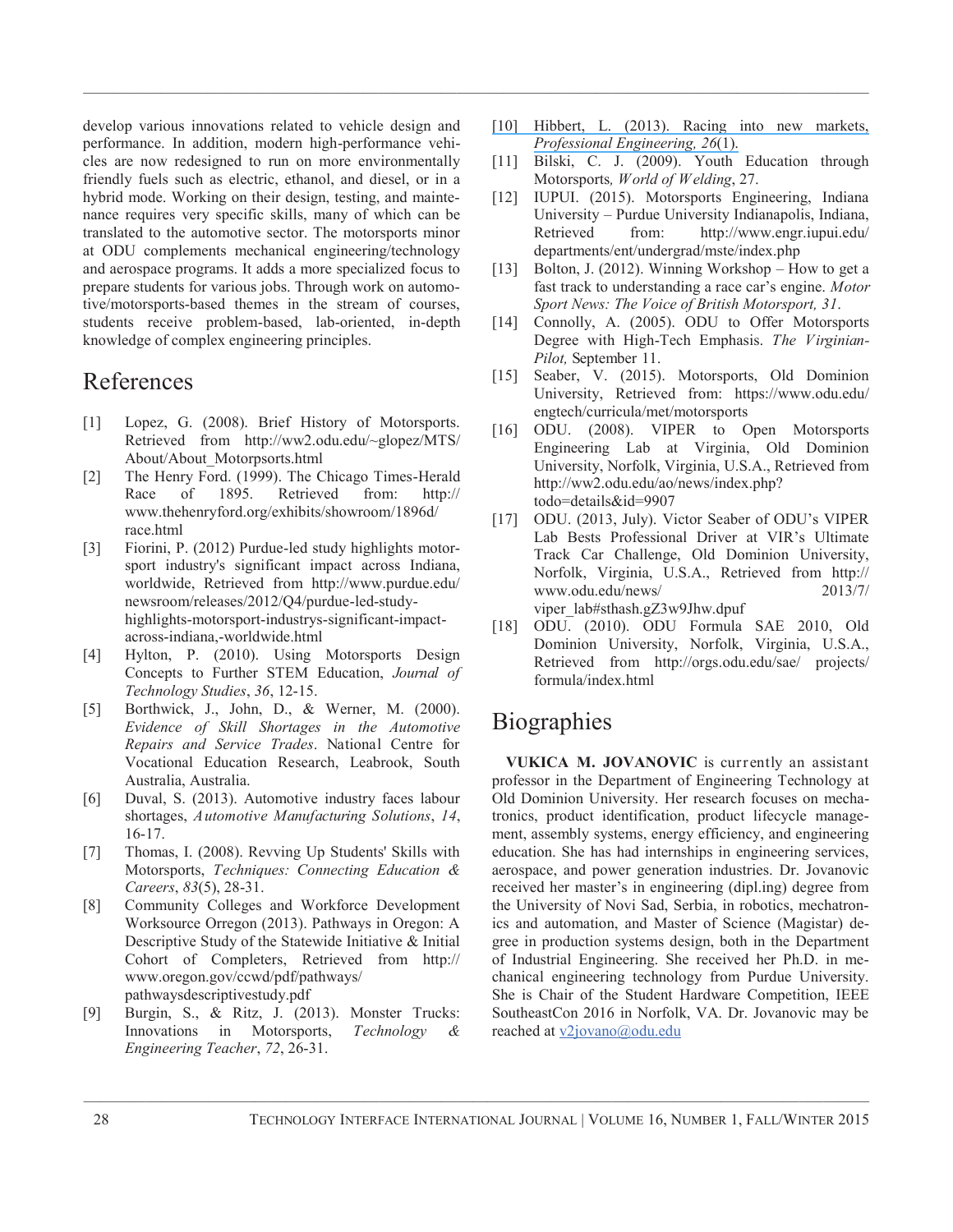develop various innovations related to vehicle design and performance. In addition, modern high-performance vehicles are now redesigned to run on more environmentally friendly fuels such as electric, ethanol, and diesel, or in a hybrid mode. Working on their design, testing, and maintenance requires very specific skills, many of which can be translated to the automotive sector. The motorsports minor at ODU complements mechanical engineering/technology and aerospace programs. It adds a more specialized focus to prepare students for various jobs. Through work on automotive/motorsports-based themes in the stream of courses, students receive problem-based, lab-oriented, in-depth knowledge of complex engineering principles.

# References

- [1] Lopez, G. (2008). Brief History of Motorsports. Retrieved from http://ww2.odu.edu/~glopez/MTS/ About/About\_Motorpsorts.html
- [2] The Henry Ford. (1999). The Chicago Times-Herald Race of 1895. Retrieved from: http:// www.thehenryford.org/exhibits/showroom/1896d/ race.html
- [3] Fiorini, P. (2012) Purdue-led study highlights motorsport industry's significant impact across Indiana, worldwide, Retrieved from http://www.purdue.edu/ newsroom/releases/2012/Q4/purdue-led-studyhighlights-motorsport-industrys-significant-impactacross-indiana,-worldwide.html
- [4] Hylton, P. (2010). Using Motorsports Design Concepts to Further STEM Education, *Journal of Technology Studies*, *36*, 12-15.
- [5] Borthwick, J., John, D., & Werner, M. (2000). *Evidence of Skill Shortages in the Automotive Repairs and Service Trades*. National Centre for Vocational Education Research, Leabrook, South Australia, Australia.
- [6] Duval, S. (2013). Automotive industry faces labour shortages, *Automotive Manufacturing Solutions*, *14*, 16-17.
- [7] Thomas, I. (2008). Revving Up Students' Skills with Motorsports, *Techniques: Connecting Education & Careers*, *83*(5), 28-31.
- [8] Community Colleges and Workforce Development Worksource Orregon (2013). Pathways in Oregon: A Descriptive Study of the Statewide Initiative & Initial Cohort of Completers, Retrieved from http:// www.oregon.gov/ccwd/pdf/pathways/ pathwaysdescriptivestudy.pdf
- [9] Burgin, S., & Ritz, J. (2013). Monster Trucks: Innovations in Motorsports, *Technology & Engineering Teacher*, *72*, 26-31.
- [\[10\] Hibbert, L. \(2013\). Racing into new markets,](https://www.researchgate.net/publication/298136159_Racing_into_new_markets?el=1_x_8&enrichId=rgreq-0ca403e2d097cb29053114cbce2951a2-XXX&enrichSource=Y292ZXJQYWdlOzI2OTM2MDMyNDtBUzozNDI0ODg2MTIxMzA4MTZAMTQ1ODY2NzA1NjUyNg==) *[Professional Engineering,](https://www.researchgate.net/publication/298136159_Racing_into_new_markets?el=1_x_8&enrichId=rgreq-0ca403e2d097cb29053114cbce2951a2-XXX&enrichSource=Y292ZXJQYWdlOzI2OTM2MDMyNDtBUzozNDI0ODg2MTIxMzA4MTZAMTQ1ODY2NzA1NjUyNg==) 26*(1).
- [11] Bilski, C. J. (2009). Youth Education through Motorsports*, World of Welding*, 27.
- [12] IUPUI. (2015). Motorsports Engineering, Indiana University – Purdue University Indianapolis, Indiana, Retrieved from: http://www.engr.iupui.edu/ departments/ent/undergrad/mste/index.php
- [13] Bolton, J. (2012). Winning Workshop How to get a fast track to understanding a race car's engine. *Motor Sport News: The Voice of British Motorsport, 31*.
- [14] Connolly, A. (2005). ODU to Offer Motorsports Degree with High-Tech Emphasis. *The Virginian-Pilot,* September 11.
- [15] Seaber, V. (2015). Motorsports, Old Dominion University, Retrieved from: https://www.odu.edu/ engtech/curricula/met/motorsports
- [16] ODU. (2008). VIPER to Open Motorsports Engineering Lab at Virginia, Old Dominion University, Norfolk, Virginia, U.S.A., Retrieved from http://ww2.odu.edu/ao/news/index.php? todo=details&id=9907
- [17] ODU. (2013, July). Victor Seaber of ODU's VIPER Lab Bests Professional Driver at VIR's Ultimate Track Car Challenge, Old Dominion University, Norfolk, Virginia, U.S.A., Retrieved from http:// www.odu.edu/news/ 2013/7/ viper\_lab#sthash.gZ3w9Jhw.dpuf
- [18] ODU. (2010). ODU Formula SAE 2010, Old Dominion University, Norfolk, Virginia, U.S.A., Retrieved from http://orgs.odu.edu/sae/ projects/ formula/index.html

# **Biographies**

——————————————————————————————————————————————–————

**VUKICA M. JOVANOVIC** is currently an assistant professor in the Department of Engineering Technology at Old Dominion University. Her research focuses on mechatronics, product identification, product lifecycle management, assembly systems, energy efficiency, and engineering education. She has had internships in engineering services, aerospace, and power generation industries. Dr. Jovanovic received her master's in engineering (dipl.ing) degree from the University of Novi Sad, Serbia, in robotics, mechatronics and automation, and Master of Science (Magistar) degree in production systems design, both in the Department of Industrial Engineering. She received her Ph.D. in mechanical engineering technology from Purdue University. She is Chair of the Student Hardware Competition, IEEE SoutheastCon 2016 in Norfolk, VA. Dr. Jovanovic may be reached at v2jovano@odu.edu

——————————————————————————————————————————————–————